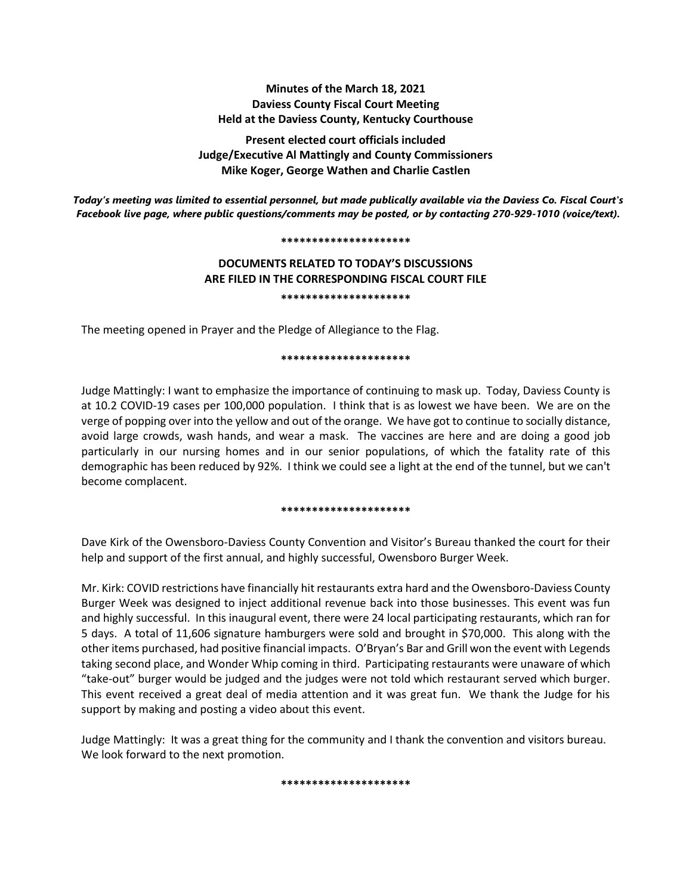# **Minutes of the March 18, 2021 Daviess County Fiscal Court Meeting Held at the Daviess County, Kentucky Courthouse**

**Present elected court officials included Judge/Executive Al Mattingly and County Commissioners Mike Koger, George Wathen and Charlie Castlen**

*Today's meeting was limited to essential personnel, but made publically available via the Daviess Co. Fiscal Court's Facebook live page, where public questions/comments may be posted, or by contacting 270-929-1010 (voice/text).*

#### **\*\*\*\*\*\*\*\*\*\*\*\*\*\*\*\*\*\*\*\*\***

# **DOCUMENTS RELATED TO TODAY'S DISCUSSIONS ARE FILED IN THE CORRESPONDING FISCAL COURT FILE \*\*\*\*\*\*\*\*\*\*\*\*\*\*\*\*\*\*\*\*\***

The meeting opened in Prayer and the Pledge of Allegiance to the Flag.

#### **\*\*\*\*\*\*\*\*\*\*\*\*\*\*\*\*\*\*\*\*\***

Judge Mattingly: I want to emphasize the importance of continuing to mask up. Today, Daviess County is at 10.2 COVID-19 cases per 100,000 population. I think that is as lowest we have been. We are on the verge of popping over into the yellow and out of the orange. We have got to continue to socially distance, avoid large crowds, wash hands, and wear a mask. The vaccines are here and are doing a good job particularly in our nursing homes and in our senior populations, of which the fatality rate of this demographic has been reduced by 92%. I think we could see a light at the end of the tunnel, but we can't become complacent.

#### **\*\*\*\*\*\*\*\*\*\*\*\*\*\*\*\*\*\*\*\*\***

Dave Kirk of the Owensboro-Daviess County Convention and Visitor's Bureau thanked the court for their help and support of the first annual, and highly successful, Owensboro Burger Week.

Mr. Kirk: COVID restrictions have financially hit restaurants extra hard and the Owensboro-Daviess County Burger Week was designed to inject additional revenue back into those businesses. This event was fun and highly successful. In this inaugural event, there were 24 local participating restaurants, which ran for 5 days. A total of 11,606 signature hamburgers were sold and brought in \$70,000. This along with the other items purchased, had positive financial impacts. O'Bryan's Bar and Grill won the event with Legends taking second place, and Wonder Whip coming in third. Participating restaurants were unaware of which "take-out" burger would be judged and the judges were not told which restaurant served which burger. This event received a great deal of media attention and it was great fun. We thank the Judge for his support by making and posting a video about this event.

Judge Mattingly: It was a great thing for the community and I thank the convention and visitors bureau. We look forward to the next promotion.

**\*\*\*\*\*\*\*\*\*\*\*\*\*\*\*\*\*\*\*\*\***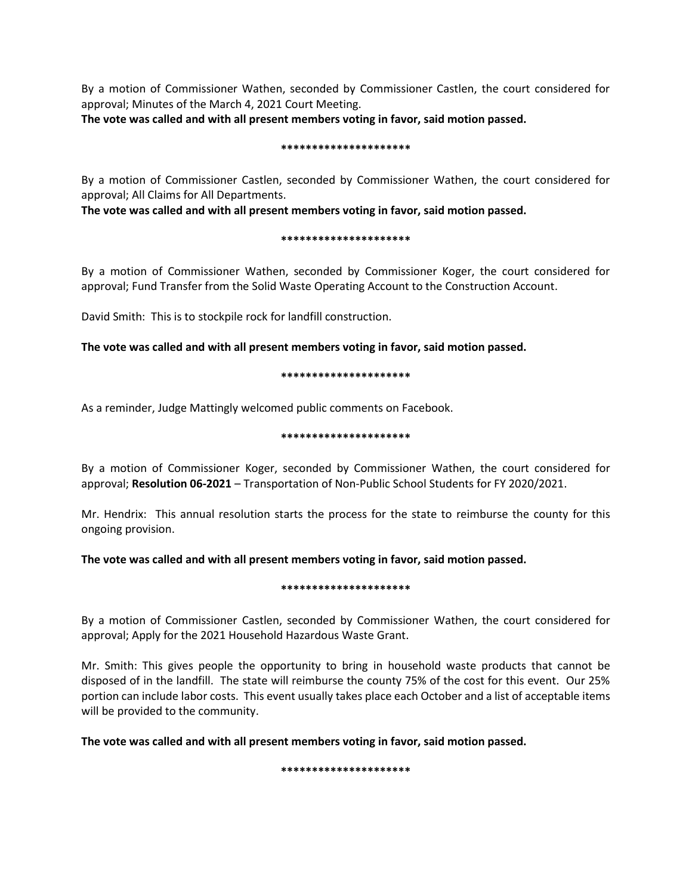By a motion of Commissioner Wathen, seconded by Commissioner Castlen, the court considered for approval; Minutes of the March 4, 2021 Court Meeting.

**The vote was called and with all present members voting in favor, said motion passed.** 

#### **\*\*\*\*\*\*\*\*\*\*\*\*\*\*\*\*\*\*\*\*\***

By a motion of Commissioner Castlen, seconded by Commissioner Wathen, the court considered for approval; All Claims for All Departments.

**The vote was called and with all present members voting in favor, said motion passed.** 

# **\*\*\*\*\*\*\*\*\*\*\*\*\*\*\*\*\*\*\*\*\***

By a motion of Commissioner Wathen, seconded by Commissioner Koger, the court considered for approval; Fund Transfer from the Solid Waste Operating Account to the Construction Account.

David Smith: This is to stockpile rock for landfill construction.

**The vote was called and with all present members voting in favor, said motion passed.**

# **\*\*\*\*\*\*\*\*\*\*\*\*\*\*\*\*\*\*\*\*\***

As a reminder, Judge Mattingly welcomed public comments on Facebook.

# **\*\*\*\*\*\*\*\*\*\*\*\*\*\*\*\*\*\*\*\*\***

By a motion of Commissioner Koger, seconded by Commissioner Wathen, the court considered for approval; **Resolution 06-2021** – Transportation of Non-Public School Students for FY 2020/2021.

Mr. Hendrix: This annual resolution starts the process for the state to reimburse the county for this ongoing provision.

**The vote was called and with all present members voting in favor, said motion passed.**

# **\*\*\*\*\*\*\*\*\*\*\*\*\*\*\*\*\*\*\*\*\***

By a motion of Commissioner Castlen, seconded by Commissioner Wathen, the court considered for approval; Apply for the 2021 Household Hazardous Waste Grant.

Mr. Smith: This gives people the opportunity to bring in household waste products that cannot be disposed of in the landfill. The state will reimburse the county 75% of the cost for this event. Our 25% portion can include labor costs. This event usually takes place each October and a list of acceptable items will be provided to the community.

**The vote was called and with all present members voting in favor, said motion passed.**

**\*\*\*\*\*\*\*\*\*\*\*\*\*\*\*\*\*\*\*\*\***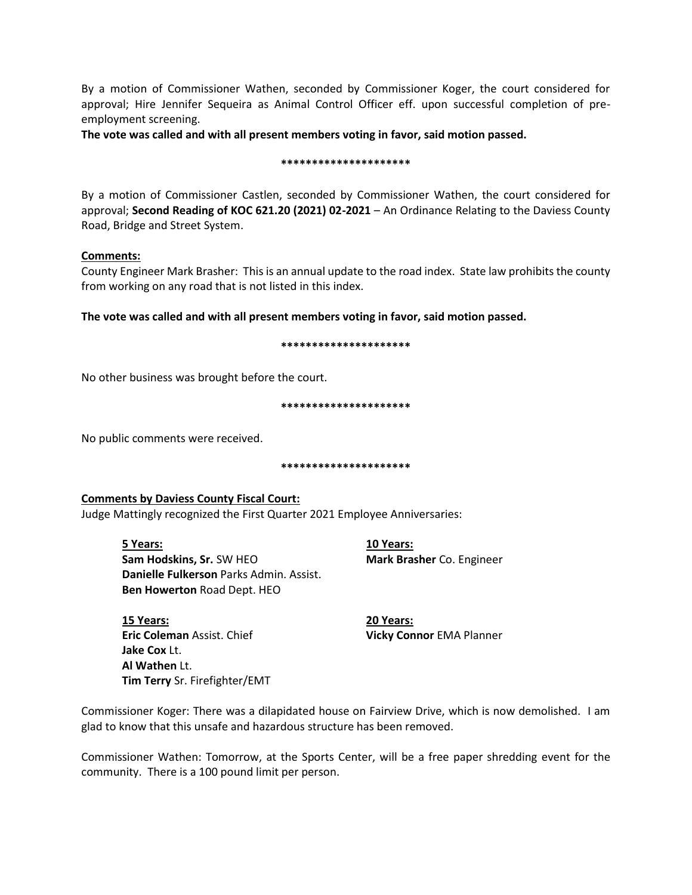By a motion of Commissioner Wathen, seconded by Commissioner Koger, the court considered for approval; Hire Jennifer Sequeira as Animal Control Officer eff. upon successful completion of preemployment screening.

**The vote was called and with all present members voting in favor, said motion passed.**

#### **\*\*\*\*\*\*\*\*\*\*\*\*\*\*\*\*\*\*\*\*\***

By a motion of Commissioner Castlen, seconded by Commissioner Wathen, the court considered for approval; **Second Reading of KOC 621.20 (2021) 02-2021** – An Ordinance Relating to the Daviess County Road, Bridge and Street System.

# **Comments:**

County Engineer Mark Brasher: This is an annual update to the road index. State law prohibits the county from working on any road that is not listed in this index.

**The vote was called and with all present members voting in favor, said motion passed.**

#### **\*\*\*\*\*\*\*\*\*\*\*\*\*\*\*\*\*\*\*\*\***

No other business was brought before the court.

**\*\*\*\*\*\*\*\*\*\*\*\*\*\*\*\*\*\*\*\*\***

No public comments were received.

**\*\*\*\*\*\*\*\*\*\*\*\*\*\*\*\*\*\*\*\*\***

# **Comments by Daviess County Fiscal Court:**

Judge Mattingly recognized the First Quarter 2021 Employee Anniversaries:

**5 Years: 10 Years: Sam Hodskins, Sr.** SW HEO **Mark Brasher** Co. Engineer **Danielle Fulkerson** Parks Admin. Assist. **Ben Howerton** Road Dept. HEO

**15 Years: 20 Years: Eric Coleman** Assist. Chief **Vicky Connor** EMA Planner **Jake Cox** Lt. **Al Wathen** Lt. **Tim Terry** Sr. Firefighter/EMT

Commissioner Koger: There was a dilapidated house on Fairview Drive, which is now demolished. I am glad to know that this unsafe and hazardous structure has been removed.

Commissioner Wathen: Tomorrow, at the Sports Center, will be a free paper shredding event for the community. There is a 100 pound limit per person.